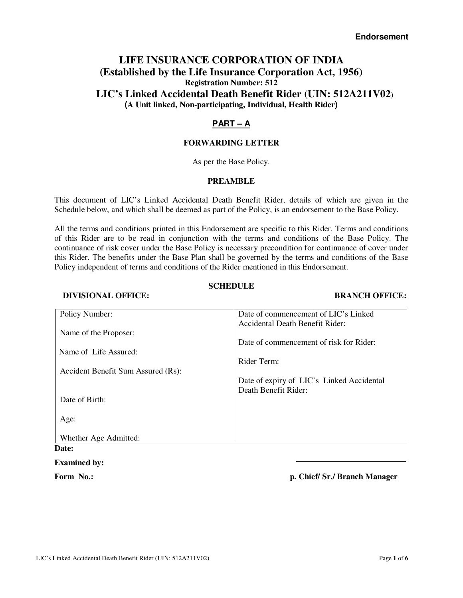# **LIFE INSURANCE CORPORATION OF INDIA (Established by the Life Insurance Corporation Act, 1956) Registration Number: 512 LIC's Linked Accidental Death Benefit Rider (UIN: 512A211V02) (A Unit linked, Non-participating, Individual, Health Rider)**

# **PART – A**

## **FORWARDING LETTER**

As per the Base Policy.

## **PREAMBLE**

This document of LIC's Linked Accidental Death Benefit Rider, details of which are given in the Schedule below, and which shall be deemed as part of the Policy, is an endorsement to the Base Policy.

All the terms and conditions printed in this Endorsement are specific to this Rider. Terms and conditions of this Rider are to be read in conjunction with the terms and conditions of the Base Policy. The continuance of risk cover under the Base Policy is necessary precondition for continuance of cover under this Rider. The benefits under the Base Plan shall be governed by the terms and conditions of the Base Policy independent of terms and conditions of the Rider mentioned in this Endorsement.

## **SCHEDULE**

### **DIVISIONAL OFFICE:** BRANCH OFFICE:

| Policy Number:                     | Date of commencement of LIC's Linked      |
|------------------------------------|-------------------------------------------|
|                                    | Accidental Death Benefit Rider:           |
| Name of the Proposer:              |                                           |
|                                    | Date of commencement of risk for Rider:   |
| Name of Life Assured:              |                                           |
|                                    | Rider Term:                               |
| Accident Benefit Sum Assured (Rs): |                                           |
|                                    | Date of expiry of LIC's Linked Accidental |
|                                    | Death Benefit Rider:                      |
| Date of Birth:                     |                                           |
|                                    |                                           |
| Age:                               |                                           |
| Whether Age Admitted:              |                                           |
| Date:                              |                                           |

#### **Examined by:**

**Form No.: p. Chief/ Sr./ Branch Manager**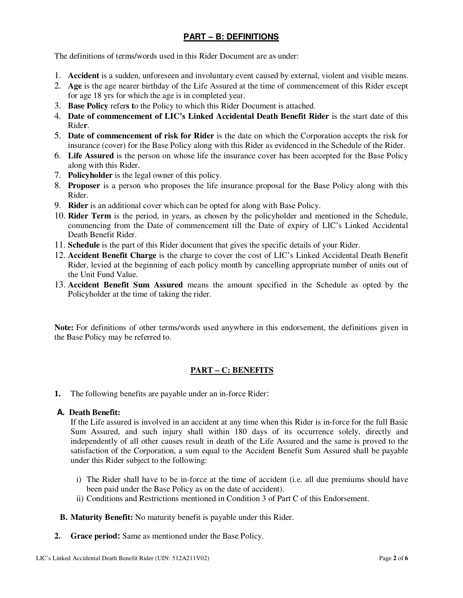# **PART – B: DEFINITIONS**

The definitions of terms/words used in this Rider Document are as under:

- 1. **Accident** is a sudden, unforeseen and involuntary event caused by external, violent and visible means.
- 2. **Age** is the age nearer birthday of the Life Assured at the time of commencement of this Rider except for age 18 yrs for which the age is in completed year.
- 3. **Base Policy** refer**s t**o the Policy to which this Rider Document is attached.
- 4. **Date of commencement of LIC's Linked Accidental Death Benefit Rider** is the start date of this Ride**r**.
- 5. **Date of commencement of risk for Rider** is the date on which the Corporation accepts the risk for insurance (cover) for the Base Policy along with this Rider as evidenced in the Schedule of the Rider.
- 6. **Life Assured** is the person on whose life the insurance cover has been accepted for the Base Policy along with this Rider.
- 7. **Policyholder** is the legal owner of this policy.
- 8. **Proposer** is a person who proposes the life insurance proposal for the Base Policy along with this Rider.
- 9. **Rider** is an additional cover which can be opted for along with Base Policy.
- 10. **Rider Term** is the period, in years, as chosen by the policyholder and mentioned in the Schedule, commencing from the Date of commencement till the Date of expiry of LIC's Linked Accidental Death Benefit Rider.
- 11. **Schedule** is the part of this Rider document that gives the specific details of your Rider.
- 12. **Accident Benefit Charge** is the charge to cover the cost of LIC's Linked Accidental Death Benefit Rider, levied at the beginning of each policy month by cancelling appropriate number of units out of the Unit Fund Value.
- 13. **Accident Benefit Sum Assured** means the amount specified in the Schedule as opted by the Policyholder at the time of taking the rider.

**Note:** For definitions of other terms/words used anywhere in this endorsement, the definitions given in the Base Policy may be referred to.

## **PART – C: BENEFITS**

**1.** The following benefits are payable under an in-force Rider:

### **A. Death Benefit:**

If the Life assured is involved in an accident at any time when this Rider is in-force for the full Basic Sum Assured, and such injury shall within 180 days of its occurrence solely, directly and independently of all other causes result in death of the Life Assured and the same is proved to the satisfaction of the Corporation, a sum equal to the Accident Benefit Sum Assured shall be payable under this Rider subject to the following:

- i) The Rider shall have to be in-force at the time of accident (i.e. all due premiums should have been paid under the Base Policy as on the date of accident).
- ii) Conditions and Restrictions mentioned in Condition 3 of Part C of this Endorsement.
- **B. Maturity Benefit:** No maturity benefit is payable under this Rider.
- **2. Grace period:** Same as mentioned under the Base Policy.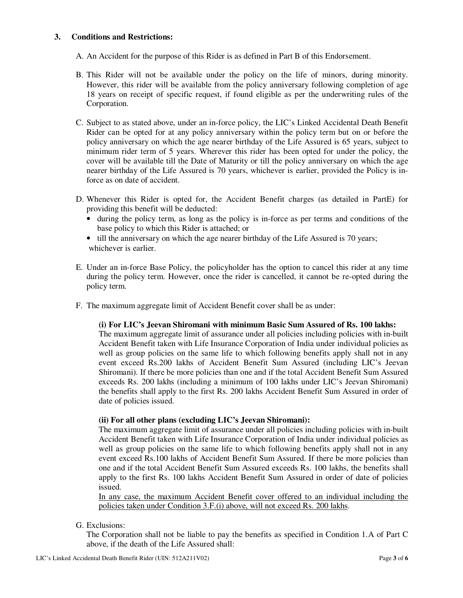### **3. Conditions and Restrictions:**

- A. An Accident for the purpose of this Rider is as defined in Part B of this Endorsement.
- B. This Rider will not be available under the policy on the life of minors, during minority. However, this rider will be available from the policy anniversary following completion of age 18 years on receipt of specific request, if found eligible as per the underwriting rules of the Corporation.
- C. Subject to as stated above, under an in-force policy, the LIC's Linked Accidental Death Benefit Rider can be opted for at any policy anniversary within the policy term but on or before the policy anniversary on which the age nearer birthday of the Life Assured is 65 years, subject to minimum rider term of 5 years. Wherever this rider has been opted for under the policy, the cover will be available till the Date of Maturity or till the policy anniversary on which the age nearer birthday of the Life Assured is 70 years, whichever is earlier, provided the Policy is inforce as on date of accident.
- D. Whenever this Rider is opted for, the Accident Benefit charges (as detailed in PartE) for providing this benefit will be deducted:
	- during the policy term, as long as the policy is in-force as per terms and conditions of the base policy to which this Rider is attached; or
	- till the anniversary on which the age nearer birthday of the Life Assured is 70 years; whichever is earlier.
- E. Under an in-force Base Policy, the policyholder has the option to cancel this rider at any time during the policy term. However, once the rider is cancelled, it cannot be re-opted during the policy term.
- F. The maximum aggregate limit of Accident Benefit cover shall be as under:

#### **(i) For LIC's Jeevan Shiromani with minimum Basic Sum Assured of Rs. 100 lakhs:**

The maximum aggregate limit of assurance under all policies including policies with in-built Accident Benefit taken with Life Insurance Corporation of India under individual policies as well as group policies on the same life to which following benefits apply shall not in any event exceed Rs.200 lakhs of Accident Benefit Sum Assured (including LIC's Jeevan Shiromani). If there be more policies than one and if the total Accident Benefit Sum Assured exceeds Rs. 200 lakhs (including a minimum of 100 lakhs under LIC's Jeevan Shiromani) the benefits shall apply to the first Rs. 200 lakhs Accident Benefit Sum Assured in order of date of policies issued.

#### **(ii) For all other plans (excluding LIC's Jeevan Shiromani):**

The maximum aggregate limit of assurance under all policies including policies with in-built Accident Benefit taken with Life Insurance Corporation of India under individual policies as well as group policies on the same life to which following benefits apply shall not in any event exceed Rs.100 lakhs of Accident Benefit Sum Assured. If there be more policies than one and if the total Accident Benefit Sum Assured exceeds Rs. 100 lakhs, the benefits shall apply to the first Rs. 100 lakhs Accident Benefit Sum Assured in order of date of policies issued.

In any case, the maximum Accident Benefit cover offered to an individual including the policies taken under Condition 3.F.(i) above, will not exceed Rs. 200 lakhs.

G. Exclusions:

The Corporation shall not be liable to pay the benefits as specified in Condition 1.A of Part C above, if the death of the Life Assured shall: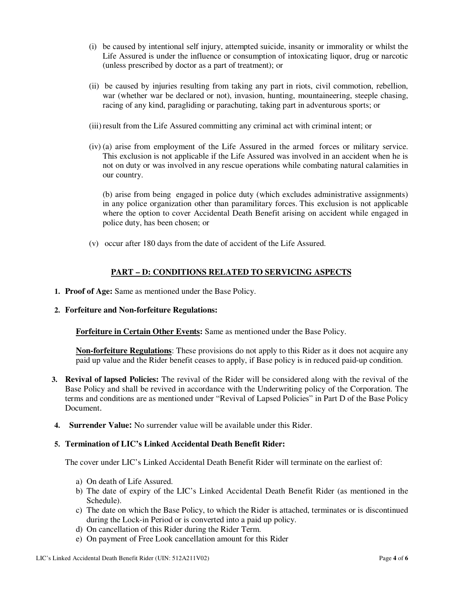- (i) be caused by intentional self injury, attempted suicide, insanity or immorality or whilst the Life Assured is under the influence or consumption of intoxicating liquor, drug or narcotic (unless prescribed by doctor as a part of treatment); or
- (ii) be caused by injuries resulting from taking any part in riots, civil commotion, rebellion, war (whether war be declared or not), invasion, hunting, mountaineering, steeple chasing, racing of any kind, paragliding or parachuting, taking part in adventurous sports; or
- (iii) result from the Life Assured committing any criminal act with criminal intent; or
- (iv) (a) arise from employment of the Life Assured in the armed forces or military service. This exclusion is not applicable if the Life Assured was involved in an accident when he is not on duty or was involved in any rescue operations while combating natural calamities in our country.

(b) arise from being engaged in police duty (which excludes administrative assignments) in any police organization other than paramilitary forces. This exclusion is not applicable where the option to cover Accidental Death Benefit arising on accident while engaged in police duty, has been chosen; or

(v) occur after 180 days from the date of accident of the Life Assured.

# **PART – D: CONDITIONS RELATED TO SERVICING ASPECTS**

- **1. Proof of Age:** Same as mentioned under the Base Policy.
- **2. Forfeiture and Non-forfeiture Regulations:**

**Forfeiture in Certain Other Events:** Same as mentioned under the Base Policy.

**Non-forfeiture Regulations**: These provisions do not apply to this Rider as it does not acquire any paid up value and the Rider benefit ceases to apply, if Base policy is in reduced paid-up condition.

- **3. Revival of lapsed Policies:** The revival of the Rider will be considered along with the revival of the Base Policy and shall be revived in accordance with the Underwriting policy of the Corporation. The terms and conditions are as mentioned under "Revival of Lapsed Policies" in Part D of the Base Policy Document.
- **4. Surrender Value:** No surrender value will be available under this Rider.

## **5. Termination of LIC's Linked Accidental Death Benefit Rider:**

The cover under LIC's Linked Accidental Death Benefit Rider will terminate on the earliest of:

- a) On death of Life Assured.
- b) The date of expiry of the LIC's Linked Accidental Death Benefit Rider (as mentioned in the Schedule).
- c) The date on which the Base Policy, to which the Rider is attached, terminates or is discontinued during the Lock-in Period or is converted into a paid up policy.
- d) On cancellation of this Rider during the Rider Term.
- e) On payment of Free Look cancellation amount for this Rider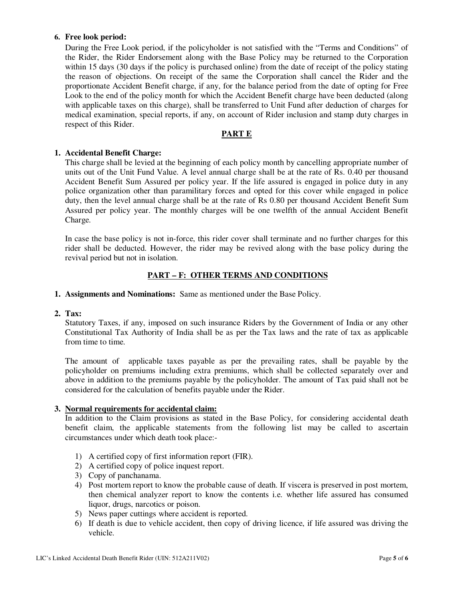## **6. Free look period:**

During the Free Look period, if the policyholder is not satisfied with the "Terms and Conditions" of the Rider, the Rider Endorsement along with the Base Policy may be returned to the Corporation within 15 days (30 days if the policy is purchased online) from the date of receipt of the policy stating the reason of objections. On receipt of the same the Corporation shall cancel the Rider and the proportionate Accident Benefit charge, if any, for the balance period from the date of opting for Free Look to the end of the policy month for which the Accident Benefit charge have been deducted (along with applicable taxes on this charge), shall be transferred to Unit Fund after deduction of charges for medical examination, special reports, if any, on account of Rider inclusion and stamp duty charges in respect of this Rider.

### **PART E**

### **1. Accidental Benefit Charge:**

This charge shall be levied at the beginning of each policy month by cancelling appropriate number of units out of the Unit Fund Value. A level annual charge shall be at the rate of Rs. 0.40 per thousand Accident Benefit Sum Assured per policy year. If the life assured is engaged in police duty in any police organization other than paramilitary forces and opted for this cover while engaged in police duty, then the level annual charge shall be at the rate of Rs 0.80 per thousand Accident Benefit Sum Assured per policy year. The monthly charges will be one twelfth of the annual Accident Benefit Charge.

In case the base policy is not in-force, this rider cover shall terminate and no further charges for this rider shall be deducted. However, the rider may be revived along with the base policy during the revival period but not in isolation.

### **PART – F: OTHER TERMS AND CONDITIONS**

**1. Assignments and Nominations:** Same as mentioned under the Base Policy.

#### **2. Tax:**

Statutory Taxes, if any, imposed on such insurance Riders by the Government of India or any other Constitutional Tax Authority of India shall be as per the Tax laws and the rate of tax as applicable from time to time.

The amount of applicable taxes payable as per the prevailing rates, shall be payable by the policyholder on premiums including extra premiums, which shall be collected separately over and above in addition to the premiums payable by the policyholder. The amount of Tax paid shall not be considered for the calculation of benefits payable under the Rider.

## **3. Normal requirements for accidental claim:**

In addition to the Claim provisions as stated in the Base Policy, for considering accidental death benefit claim, the applicable statements from the following list may be called to ascertain circumstances under which death took place:-

- 1) A certified copy of first information report (FIR).
- 2) A certified copy of police inquest report.
- 3) Copy of panchanama.
- 4) Post mortem report to know the probable cause of death. If viscera is preserved in post mortem, then chemical analyzer report to know the contents i.e. whether life assured has consumed liquor, drugs, narcotics or poison.
- 5) News paper cuttings where accident is reported.
- 6) If death is due to vehicle accident, then copy of driving licence, if life assured was driving the vehicle.